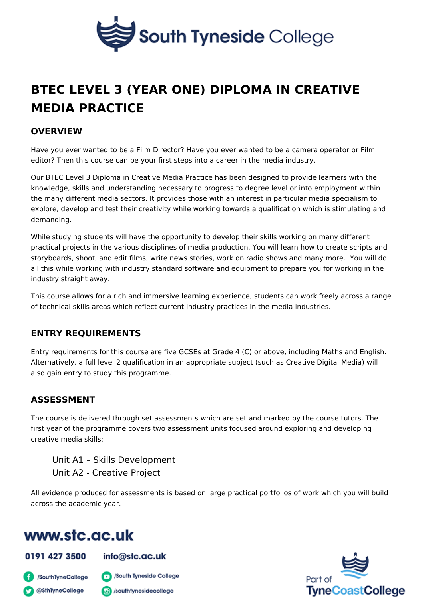# BTEC LEVEL 3 (YEAR ONE) DIPLOMA IN CREA [MEDIA PRACT](https://www.stc.ac.uk/professional-and-vocational-college/course/btec-level-3-year-one-diploma-creative-media-practice)ICE

#### OVERVIEW

Have you ever wanted to be a Film Director? Have you ever wanted to be a came editor? Then this course can be your first steps into a career in the media indus

Our BTEC Level 3 Diploma in Creative Media Practice has been designed to prov knowledge, skills and understanding necessary to progress to degree level or in the many different media sectors. It provides those with an interest in particula explore, develop and test their creativity while working towards a qualification v demanding.

While studying students will have the opportunity to develop their skills working practical projects in the various disciplines of media production. You will learn storyboards, shoot, and edit films, write news stories, work on radio shows and all this while working with industry standard software and equipment to prepare industry straight away.

This course allows for a rich and immersive learning experience, students can w of technical skills areas which reflect current industry practices in the media in

#### ENTRY REQUIREMENTS

Entry requirements for this course are five GCSEs at Grade 4 (C) or above, incl Alternatively, a full level 2 qualification in an appropriate subject (such as Crea also gain entry to study this programme.

#### ASSESSMENT

The course is delivered through set assessments which are set and marked by the first year of the programme covers two assessment units focused around explori creative media skills:

Unit A1 Skills Development Unit A2 - Creative Project

All evidence produced for assessments is based on large practical portfolios of across the academic year.